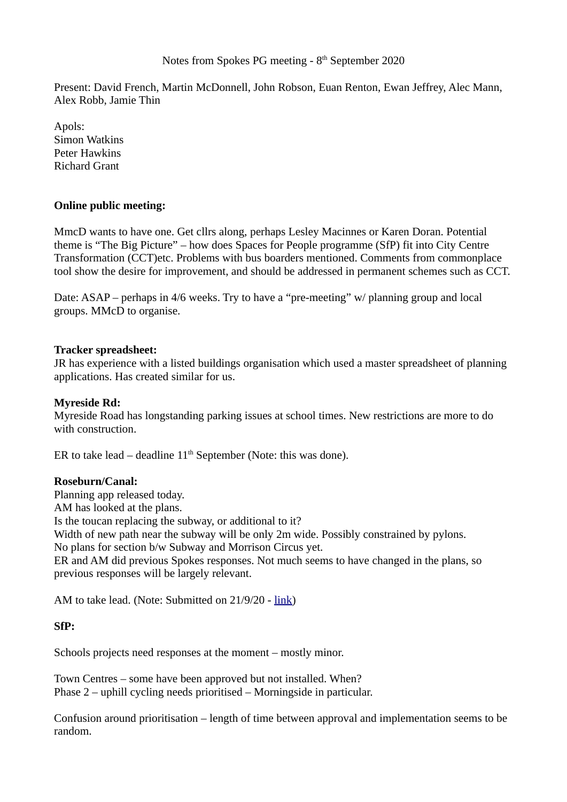# Notes from Spokes PG meeting  $-8<sup>th</sup>$  September 2020

Present: David French, Martin McDonnell, John Robson, Euan Renton, Ewan Jeffrey, Alec Mann, Alex Robb, Jamie Thin

Apols: Simon Watkins Peter Hawkins Richard Grant

# **Online public meeting:**

MmcD wants to have one. Get cllrs along, perhaps Lesley Macinnes or Karen Doran. Potential theme is "The Big Picture" – how does Spaces for People programme (SfP) fit into City Centre Transformation (CCT)etc. Problems with bus boarders mentioned. Comments from commonplace tool show the desire for improvement, and should be addressed in permanent schemes such as CCT.

Date: ASAP – perhaps in 4/6 weeks. Try to have a "pre-meeting" w/ planning group and local groups. MMcD to organise.

# **Tracker spreadsheet:**

JR has experience with a listed buildings organisation which used a master spreadsheet of planning applications. Has created similar for us.

#### **Myreside Rd:**

Myreside Road has longstanding parking issues at school times. New restrictions are more to do with construction.

ER to take lead – deadline  $11<sup>th</sup>$  September (Note: this was done).

# **Roseburn/Canal:**

Planning app released today. AM has looked at the plans. Is the toucan replacing the subway, or additional to it? Width of new path near the subway will be only 2m wide. Possibly constrained by pylons. No plans for section b/w Subway and Morrison Circus yet. ER and AM did previous Spokes responses. Not much seems to have changed in the plans, so previous responses will be largely relevant.

AM to take lead. (Note: Submitted on 21/9/20 - [link\)](http://www.spokes.org.uk/wp-content/uploads/2020/09/2009-rosecanal-PA20-03561-FUL-Spokes-response.pdf)

# **SfP:**

Schools projects need responses at the moment – mostly minor.

Town Centres – some have been approved but not installed. When? Phase 2 – uphill cycling needs prioritised – Morningside in particular.

Confusion around prioritisation – length of time between approval and implementation seems to be random.